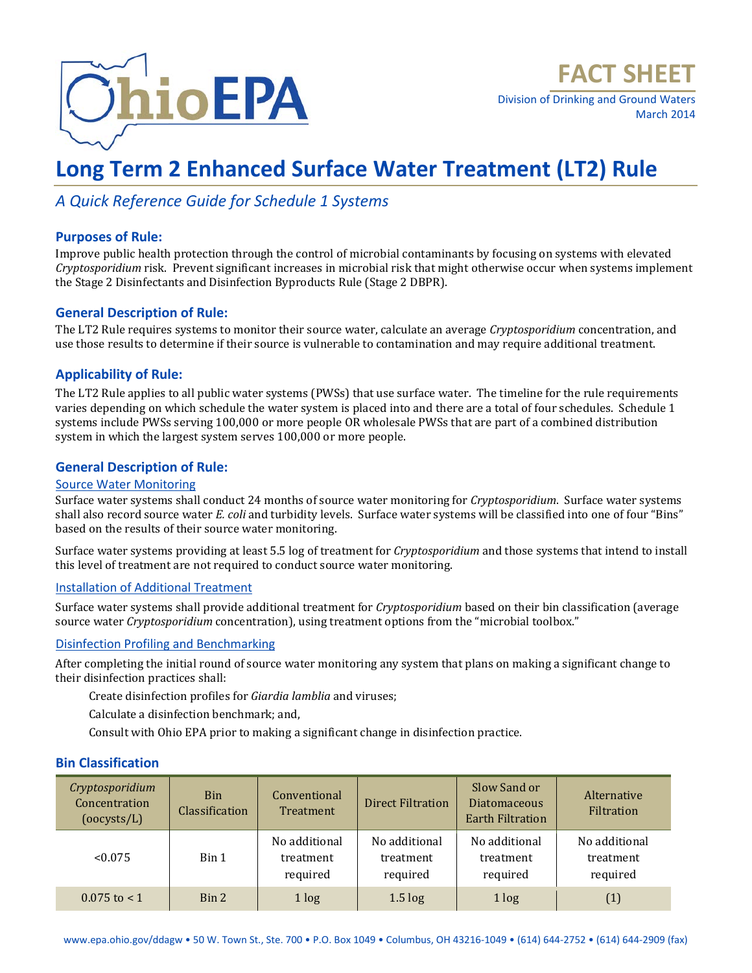

Division of Drinking and Ground Waters March 2014

# **Long Term 2 Enhanced Surface Water Treatment (LT2) Rule**

### *A Quick Reference Guide for Schedule 1 Systems*

#### **Purposes of Rule:**

Improve public health protection through the control of microbial contaminants by focusing on systems with elevated *Cryptosporidium* risk. Prevent significant increases in microbial risk that might otherwise occur when systems implement the Stage 2 Disinfectants and Disinfection Byproducts Rule (Stage 2 DBPR).

#### **General Description of Rule:**

The LT2 Rule requires systems to monitor their source water, calculate an average *Cryptosporidium* concentration, and use those results to determine if their source is vulnerable to contamination and may require additional treatment.

#### **Applicability of Rule:**

The LT2 Rule applies to all public water systems (PWSs) that use surface water. The timeline for the rule requirements varies depending on which schedule the water system is placed into and there are a total of four schedules. Schedule 1 systems include PWSs serving 100,000 or more people OR wholesale PWSs that are part of a combined distribution system in which the largest system serves 100,000 or more people.

#### **General Description of Rule:**

#### Source Water Monitoring

Surface water systems shall conduct 24 months of source water monitoring for *Cryptosporidium*. Surface water systems shall also record source water *E. coli* and turbidity levels. Surface water systems will be classified into one of four "Bins" based on the results of their source water monitoring.

Surface water systems providing at least 5.5 log of treatment for *Cryptosporidium* and those systems that intend to install this level of treatment are not required to conduct source water monitoring.

#### Installation of Additional Treatment

Surface water systems shall provide additional treatment for *Cryptosporidium* based on their bin classification (average source water *Cryptosporidium* concentration), using treatment options from the "microbial toolbox."

#### Disinfection Profiling and Benchmarking

After completing the initial round of source water monitoring any system that plans on making a significant change to their disinfection practices shall:

Create disinfection profiles for *Giardia lamblia* and viruses;

Calculate a disinfection benchmark; and,

Consult with Ohio EPA prior to making a significant change in disinfection practice.

#### **Bin Classification**

| Cryptosporidium<br>Concentration<br>(ocysts/L) | <b>Bin</b><br>Classification | Conventional<br>Treatment              | <b>Direct Filtration</b>               | Slow Sand or<br><b>Diatomaceous</b><br><b>Earth Filtration</b> | Alternative<br>Filtration              |
|------------------------------------------------|------------------------------|----------------------------------------|----------------------------------------|----------------------------------------------------------------|----------------------------------------|
| < 0.075                                        | Bin 1                        | No additional<br>treatment<br>required | No additional<br>treatment<br>required | No additional<br>treatment<br>required                         | No additional<br>treatment<br>required |
| $0.075$ to $< 1$                               | Bin 2                        | 1 log                                  | $1.5 \log$                             | 1 log                                                          | (1)                                    |